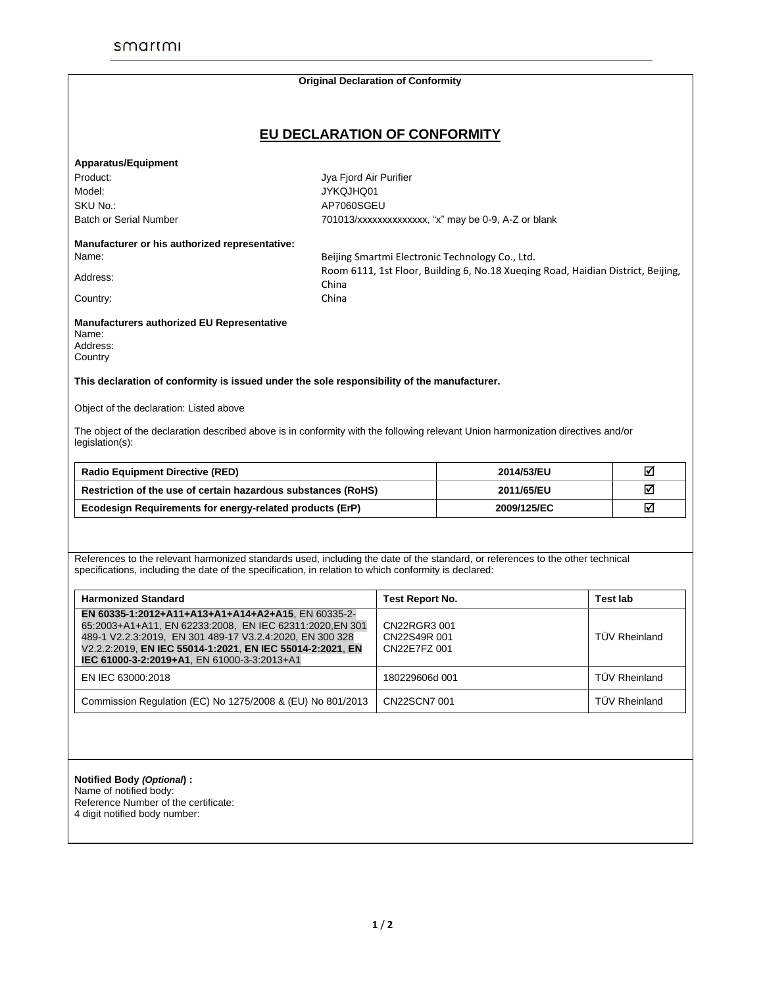|                                                                                                                                                                                                                                                                                        |                                                                                  | <b>Original Declaration of Conformity</b>    |             |                      |   |
|----------------------------------------------------------------------------------------------------------------------------------------------------------------------------------------------------------------------------------------------------------------------------------------|----------------------------------------------------------------------------------|----------------------------------------------|-------------|----------------------|---|
| EU DECLARATION OF CONFORMITY                                                                                                                                                                                                                                                           |                                                                                  |                                              |             |                      |   |
|                                                                                                                                                                                                                                                                                        |                                                                                  |                                              |             |                      |   |
| <b>Apparatus/Equipment</b>                                                                                                                                                                                                                                                             |                                                                                  |                                              |             |                      |   |
| Product:                                                                                                                                                                                                                                                                               | Jya Fjord Air Purifier                                                           |                                              |             |                      |   |
| Model:                                                                                                                                                                                                                                                                                 | JYKQJHQ01                                                                        |                                              |             |                      |   |
| SKU No.:                                                                                                                                                                                                                                                                               | AP7060SGEU                                                                       |                                              |             |                      |   |
| <b>Batch or Serial Number</b>                                                                                                                                                                                                                                                          | 701013/xxxxxxxxxxxxxx, "x" may be 0-9, A-Z or blank                              |                                              |             |                      |   |
| Manufacturer or his authorized representative:                                                                                                                                                                                                                                         |                                                                                  |                                              |             |                      |   |
| Name:                                                                                                                                                                                                                                                                                  | Beijing Smartmi Electronic Technology Co., Ltd.                                  |                                              |             |                      |   |
| Address:                                                                                                                                                                                                                                                                               | Room 6111, 1st Floor, Building 6, No.18 Xueging Road, Haidian District, Beijing, |                                              |             |                      |   |
|                                                                                                                                                                                                                                                                                        | China                                                                            |                                              |             |                      |   |
| Country:                                                                                                                                                                                                                                                                               | China                                                                            |                                              |             |                      |   |
| Manufacturers authorized EU Representative<br>Name:<br>Address:<br>Country                                                                                                                                                                                                             |                                                                                  |                                              |             |                      |   |
|                                                                                                                                                                                                                                                                                        |                                                                                  |                                              |             |                      |   |
| This declaration of conformity is issued under the sole responsibility of the manufacturer.                                                                                                                                                                                            |                                                                                  |                                              |             |                      |   |
| Object of the declaration: Listed above                                                                                                                                                                                                                                                |                                                                                  |                                              |             |                      |   |
| The object of the declaration described above is in conformity with the following relevant Union harmonization directives and/or<br>legislation(s):                                                                                                                                    |                                                                                  |                                              |             |                      |   |
| <b>Radio Equipment Directive (RED)</b>                                                                                                                                                                                                                                                 |                                                                                  |                                              | 2014/53/EU  |                      | ☑ |
| Restriction of the use of certain hazardous substances (RoHS)                                                                                                                                                                                                                          |                                                                                  |                                              | 2011/65/EU  |                      | ☑ |
| Ecodesign Requirements for energy-related products (ErP)                                                                                                                                                                                                                               |                                                                                  |                                              | 2009/125/EC |                      | ☑ |
| References to the relevant harmonized standards used, including the date of the standard, or references to the other technical<br>specifications, including the date of the specification, in relation to which conformity is declared:                                                |                                                                                  |                                              |             |                      |   |
| <b>Harmonized Standard</b>                                                                                                                                                                                                                                                             |                                                                                  | Test Report No.                              |             | <b>Test lab</b>      |   |
| EN 60335-1:2012+A11+A13+A1+A14+A2+A15, EN 60335-2-<br>65:2003+A1+A11, EN 62233:2008, EN IEC 62311:2020, EN 301<br>489-1 V2.2.3:2019, EN 301 489-17 V3.2.4:2020, EN 300 328<br>V2.2.2:2019, EN IEC 55014-1:2021, EN IEC 55014-2:2021, EN<br>IEC 61000-3-2:2019+A1, EN 61000-3-3:2013+A1 |                                                                                  | CN22RGR3 001<br>CN22S49R 001<br>CN22E7FZ 001 |             | <b>TÜV Rheinland</b> |   |
| EN IEC 63000:2018                                                                                                                                                                                                                                                                      |                                                                                  | 180229606d 001                               |             | <b>TÜV Rheinland</b> |   |
| Commission Regulation (EC) No 1275/2008 & (EU) No 801/2013                                                                                                                                                                                                                             |                                                                                  | CN22SCN7 001                                 |             | <b>TÜV Rheinland</b> |   |
|                                                                                                                                                                                                                                                                                        |                                                                                  |                                              |             |                      |   |

Reference Number of the certificate: 4 digit notified body number: